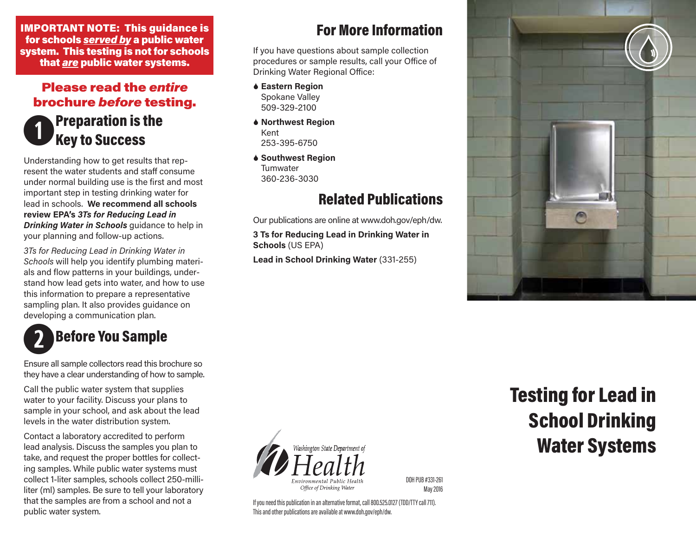IMPORTANT NOTE: This guidance is for schools *served by* a public water system. This testing is not for schools that *are* public water systems.

### Please read the *entire* brochure *before* testing.

➊Preparation is the Key to Success

Understanding how to get results that represent the water students and staff consume under normal building use is the first and most important step in testing drinking water for lead in schools. **We recommend all schools review EPA's** *3Ts for Reducing Lead in Drinking Water in Schools* guidance to help in your planning and follow-up actions.

*3Ts for Reducing Lead in Drinking Water in Schools* will help you identify plumbing materials and flow patterns in your buildings, understand how lead gets into water, and how to use this information to prepare a representative sampling plan. It also provides guidance on developing a communication plan.



Ensure all sample collectors read this brochure so they have a clear understanding of how to sample.

Call the public water system that supplies water to your facility. Discuss your plans to sample in your school, and ask about the lead levels in the water distribution system.

Contact a laboratory accredited to perform lead analysis. Discuss the samples you plan to take, and request the proper bottles for collecting samples. While public water systems must collect 1-liter samples, schools collect 250-milliliter (ml) samples. Be sure to tell your laboratory that the samples are from a school and not a public water system.

## For More Information

If you have questions about sample collection procedures or sample results, call your Office of Drinking Water Regional Office:

- 6 **Eastern Region** Spokane Valley 509-329-2100
- 6 **Northwest Region** Kent 253-395-6750
- 6 **Southwest Region Tumwater** 360-236-3030

## Related Publications

Our publications are online at www.doh.gov/eph/dw.

**3 Ts for Reducing Lead in Drinking Water in Schools** (US EPA)

**Lead in School Drinking Water** (331-255)



DOH PUB #331-261 May 2016

If you need this publication in an alternative format, call 800.525.0127 (TDD/TTY call 711). This and other publications are available at www.doh.gov/eph/dw.



## Testing for Lead in School Drinking Water Systems